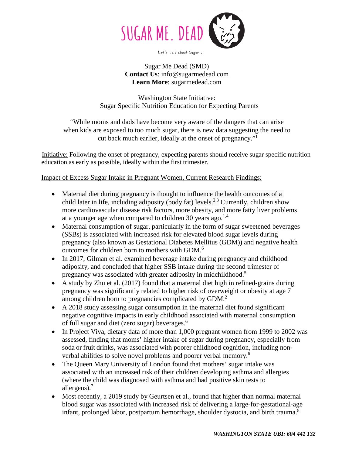

Let's Talk about Sugar...

Sugar Me Dead (SMD) **Contact Us**: [info@sugarmedead.com](mailto:info@sugarmedead.com) **Learn More**: sugarmedead.com

Washington State Initiative: Sugar Specific Nutrition Education for Expecting Parents

"While moms and dads have become very aware of the dangers that can arise when kids are exposed to too much sugar, there is new data suggesting the need to cut back much earlier, ideally at the onset of pregnancy."1

Initiative: Following the onset of pregnancy, expecting parents should receive sugar specific nutrition education as early as possible, ideally within the first trimester.

Impact of Excess Sugar Intake in Pregnant Women, Current Research Findings:

- Maternal diet during pregnancy is thought to influence the health outcomes of a child later in life, including adiposity (body fat) levels.<sup>2,3</sup> Currently, children show more cardiovascular disease risk factors, more obesity, and more fatty liver problems at a younger age when compared to children 30 years ago. $^{1,4}$
- Maternal consumption of sugar, particularly in the form of sugar sweetened beverages (SSBs) is associated with increased risk for elevated blood sugar levels during pregnancy (also known as Gestational Diabetes Mellitus (GDM)) and negative health outcomes for children born to mothers with GDM.<sup>6</sup>
- In 2017, Gilman et al. examined beverage intake during pregnancy and childhood adiposity, and concluded that higher SSB intake during the second trimester of pregnancy was associated with greater adiposity in midchildhood.<sup>5</sup>
- A study by Zhu et al. (2017) found that a maternal diet high in refined-grains during pregnancy was significantly related to higher risk of overweight or obesity at age 7 among children born to pregnancies complicated by GDM.<sup>2</sup>
- A 2018 study assessing sugar consumption in the maternal diet found significant negative cognitive impacts in early childhood associated with maternal consumption of full sugar and diet (zero sugar) beverages. 6
- In Project Viva, dietary data of more than 1,000 pregnant women from 1999 to 2002 was assessed, finding that moms' higher intake of sugar during pregnancy, especially from soda or fruit drinks, was associated with poorer childhood cognition, including nonverbal abilities to solve novel problems and poorer verbal memory.6
- The Queen Mary University of London found that mothers' sugar intake was associated with an increased risk of their [children developing asthma](https://www.todaysparent.com/family/parenting/hope-for-children-with-asthma/) and allergies (where the child was diagnosed with asthma and had positive skin tests to allergens).7
- Most recently, a 2019 study by Geurtsen et al., found that higher than normal maternal blood sugar was associated with increased risk of delivering a large-for-gestational-age infant, prolonged labor, postpartum hemorrhage, shoulder dystocia, and birth trauma.<sup>8</sup>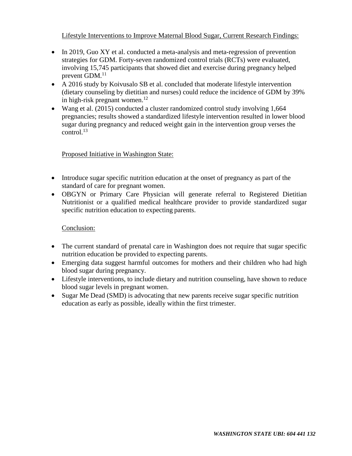## Lifestyle Interventions to Improve Maternal Blood Sugar, Current Research Findings:

- In 2019, Guo XY et al. conducted a meta-analysis and meta-regression of prevention strategies for GDM. Forty-seven randomized control trials (RCTs) were evaluated, involving 15,745 participants that showed diet and exercise during pregnancy helped prevent GDM.<sup>11</sup>
- A 2016 study by Koivusalo SB et al. concluded that moderate lifestyle intervention (dietary counseling by dietitian and nurses) could reduce the incidence of GDM by 39% in high-risk pregnant women.<sup>12</sup>
- Wang et al. (2015) conducted a cluster randomized control study involving 1,664 pregnancies; results showed a standardized lifestyle intervention resulted in lower blood sugar during pregnancy and reduced weight gain in the intervention group verses the control. 13

## Proposed Initiative in Washington State:

- Introduce sugar specific nutrition education at the onset of pregnancy as part of the standard of care for pregnant women.
- OBGYN or Primary Care Physician will generate referral to Registered Dietitian Nutritionist or a qualified medical healthcare provider to provide standardized sugar specific nutrition education to expecting parents.

## Conclusion:

- The current standard of prenatal care in Washington does not require that sugar specific nutrition education be provided to expecting parents.
- Emerging data suggest harmful outcomes for mothers and their children who had high blood sugar during pregnancy.
- Lifestyle interventions, to include dietary and nutrition counseling, have shown to reduce blood sugar levels in pregnant women.
- Sugar Me Dead (SMD) is advocating that new parents receive sugar specific nutrition education as early as possible, ideally within the first trimester.